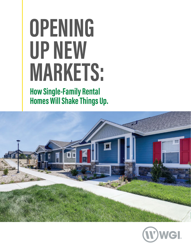# **OPENING UP NEW MARKETS:**

**How Single-Family Rental Homes Will Shake Things Up.**



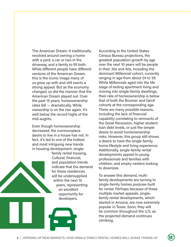The American Dream. It traditionally revolved around owning a home with a yard, a car or two in the driveway, and a family to fill both. While different people have different versions of the American Dream, this is the iconic image many of us grew up with and still exerts a strong appeal. But as the economy changed, so did the manner that the American Dream played out. Over the past 15 years, homeownership rates fell — dramatically. While ownership is on the rise again, it's well below the record highs of the mid-aughts.

Even though homeownership decreased, the commonplace desire to live in a house has not. In fact, it's led to one of the hottest and most intriguing new trends in housing development: single-

> family rental housing. Cultural, financial, and population trends indicate that the demand for these residences will be undersupplied within the next 10 years, representing an excellent opportunity for developers.

According to the United States Census Bureau projections, the greatest population growth by age over the next 10 years will be people in their 30s and 40s, including the dominant Millennial cohort, currently ranging in age from about 24 to 39. While Millennials aged into the life stage of exiting apartment living and moving into single-family dwellings, their rate of homeownership is below that of both the Boomer and GenX cohorts at the corresponding age. There are many possible reasons, including the lack of financial capability correlating to remnants of the Great Recession, higher studentloan debt levels, or just the simple desire to avoid homeownership risks. However, this group still shows a desire to have the single-family home lifestyle and living experience. Additionally, single-family rental developments appeal to young professionals and families with children, and empty-nesters looking to downsize.

To answer this demand, multifamily developments are turning to single-family homes purpose-built for rental. Perhaps because of these multiple market appeals, singlefamily rental developments, which started in Arizona, are now extremely popular in Texas. Soon, they will be common throughout the U.S. as the projected demand continues climbing.

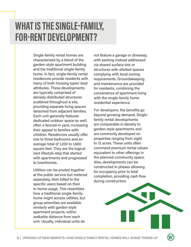# **WHAT IS THE SINGLE-FAMILY, FOR-RENT DEVELOPMENT?**

Single-family rental homes are characterized by a blend of the garden-style apartment building and the traditional single-family home. In fact, single-family rental residences provide residents with many of both housing types' best attributes. These developments are typically comprised of densely distributed structures scattered throughout a site, providing separate living spaces detached from adjacent families. Each unit generally features dedicated outdoor space as well, often a fenced-in yard, increasing their appeal to families with children. Residences usually offer one to three bedrooms and an average total of 1,200 to 1,600 square feet. They are the logical next lifestyle step that started with apartments and progressed to townhomes.

Utilities can be pooled together at the public service but metered separately, then billed to the specific users based on their in-home usage. This resembles how a traditional single-family home might access utilities, but group amenities are available similarly with garden-style apartment projects, within walkable distance from each unit. Usually, individual units do

not feature a garage or driveway, with parking instead addressed via shared surface lots or structures with allotted spaces complying with local-zoning requirements. Groundskeeping and maintenance are provided for residents, combining the convenience of apartment living with the single-family home residential experience.

For developers, the benefits go beyond growing demand. Singlefamily rental developments are comparable in density to garden-style apartments and are commonly developed on properties ranging from eight to 12 acres. These units often command premium rental values equivalent to other offerings in the planned-community space. Also, developments can be constructed in phases allowing for occupancy prior to total completion, providing cash flow during construction.

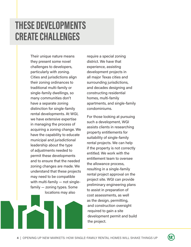### **THESE DEVELOPMENTS CREATE CHALLENGES**

Their unique nature means they present some novel challenges to developers, particularly with zoning. Cities and jurisdictions align their zoning ordinances to traditional multi-family or single-family dwellings, so many communities don't have a separate zoning distinction for single-family rental developments. At WGI, we have extensive expertise in managing the process of acquiring a zoning change. We have the capability to educate municipal and jurisdictional leadership about the type of adjustments needed to permit these developments and to ensure that the needed zoning changes are made. We understand that these projects may need to be compatible with multi-family — not singlefamily — zoning types. Some locations may also

require a special zoning district. We have that experience, assisting development projects in all major Texas cities and surrounding jurisdictions, and decades designing and constructing residential homes, multi-family apartments, and single-family condominiums.

For those looking at pursuing such a development, WGI assists clients in researching property entitlements for suitability of single-family rental projects. We can help if the property is not correctly entitled. We work with the entitlement team to oversee the allowance process, resulting in a single-family rental project approval on the project site. WGI can provide preliminary engineering plans to assist in preparation of cost assessments, as well as the design, permitting, and construction oversight required to gain a site development permit and build the project.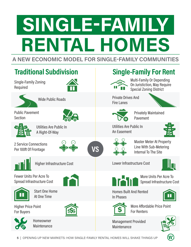# **A NEW ECONOMIC MODEL FOR SINGLE-FAMILY COMMUNITIES SINGLE-FAMILY RENTAL HOMES**